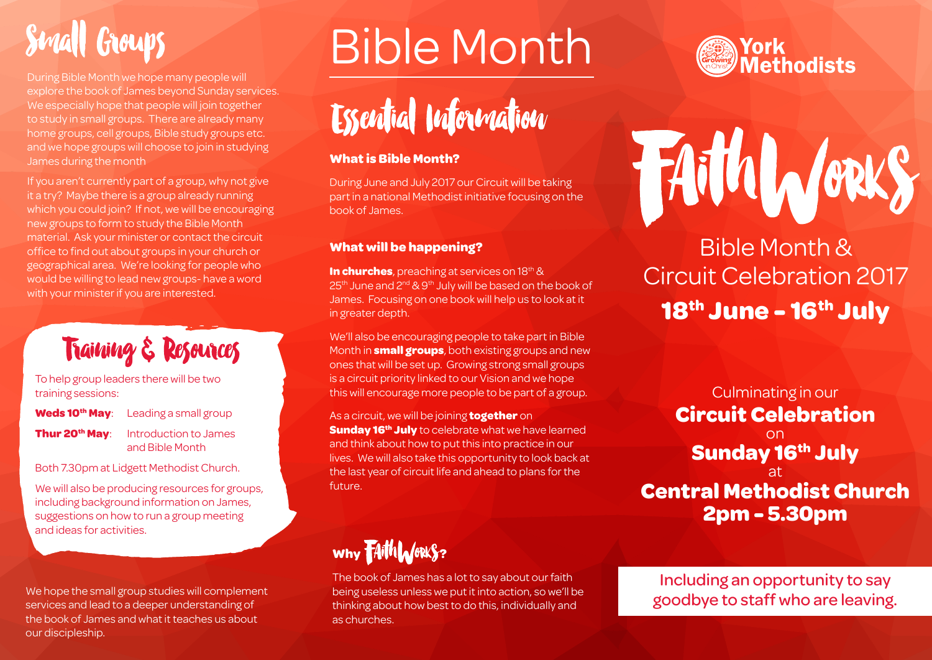# **Small Groups**

During Bible Month we hope many people will explore the book of James beyond Sunday services. We especially hope that people will join together to study in small groups. There are already many home groups, cell groups, Bible study groups etc. and we hope groups will choose to join in studying James during the month

If you aren't currently part of a group, why not give it a try? Maybe there is a group already running which you could join? If not, we will be encouraging new groups to form to study the Bible Month material. Ask your minister or contact the circuit office to find out about groups in your church or geographical area. We're looking for people who would be willing to lead new groups- have a word with your minister if you are interested.

## **Training & Resources**

To help group leaders there will be two training sessions:

**Weds 10<sup>th</sup> May**: Leading a small group

### **Thur 20<sup>th</sup> May**: Introduction to James and Bible Month

Both 7.30pm at Lidgett Methodist Church.

We will also be producing resources for groups, including background information on James, suggestions on how to run a group meeting and ideas for activities.

We hope the small group studies will complement services and lead to a deeper understanding of the book of James and what it teaches us about our discipleship.

# Bible Month



### **What is Bible Month?**

During June and July 2017 our Circuit will be taking part in a national Methodist initiative focusing on the book of James.

## **What will be happening?**

**In churches**, preaching at services on 18<sup>th</sup> & 25<sup>th</sup> June and 2<sup>nd</sup> & 9<sup>th</sup> July will be based on the book of James. Focusing on one book will help us to look at it in greater depth.

We'll also be encouraging people to take part in Bible Month in **small groups**, both existing groups and new ones that will be set up. Growing strong small groups is a circuit priority linked to our Vision and we hope this will encourage more people to be part of a group.

As a circuit, we will be joining **together** on **Sunday 16<sup>th</sup> July** to celebrate what we have learned and think about how to put this into practice in our lives. We will also take this opportunity to look back at the last year of circuit life and ahead to plans for the future.

## **Why FAith WORKS?**

The book of James has a lot to say about our faith being useless unless we put it into action, so we'll be thinking about how best to do this, individually and as churches.



# FAithLores

## **18th June - 16th July** Bible Month & Circuit Celebration 2017

Culminating in our **Circuit Celebration** on **Sunday 16th July** at **Central Methodist Church 2pm - 5.30pm**

Including an opportunity to say goodbye to staff who are leaving.